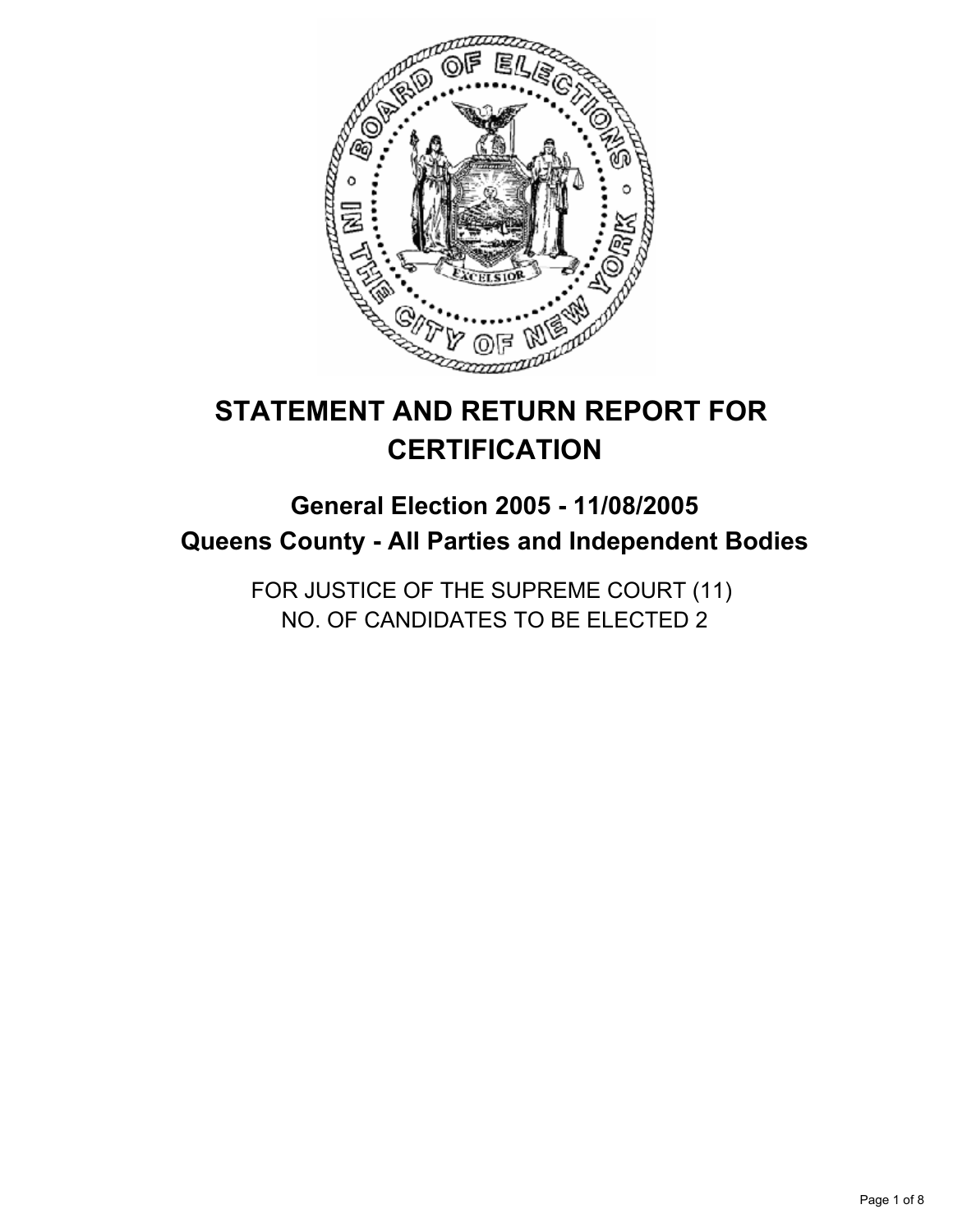

# **STATEMENT AND RETURN REPORT FOR CERTIFICATION**

# **General Election 2005 - 11/08/2005 Queens County - All Parties and Independent Bodies**

FOR JUSTICE OF THE SUPREME COURT (11) NO. OF CANDIDATES TO BE ELECTED 2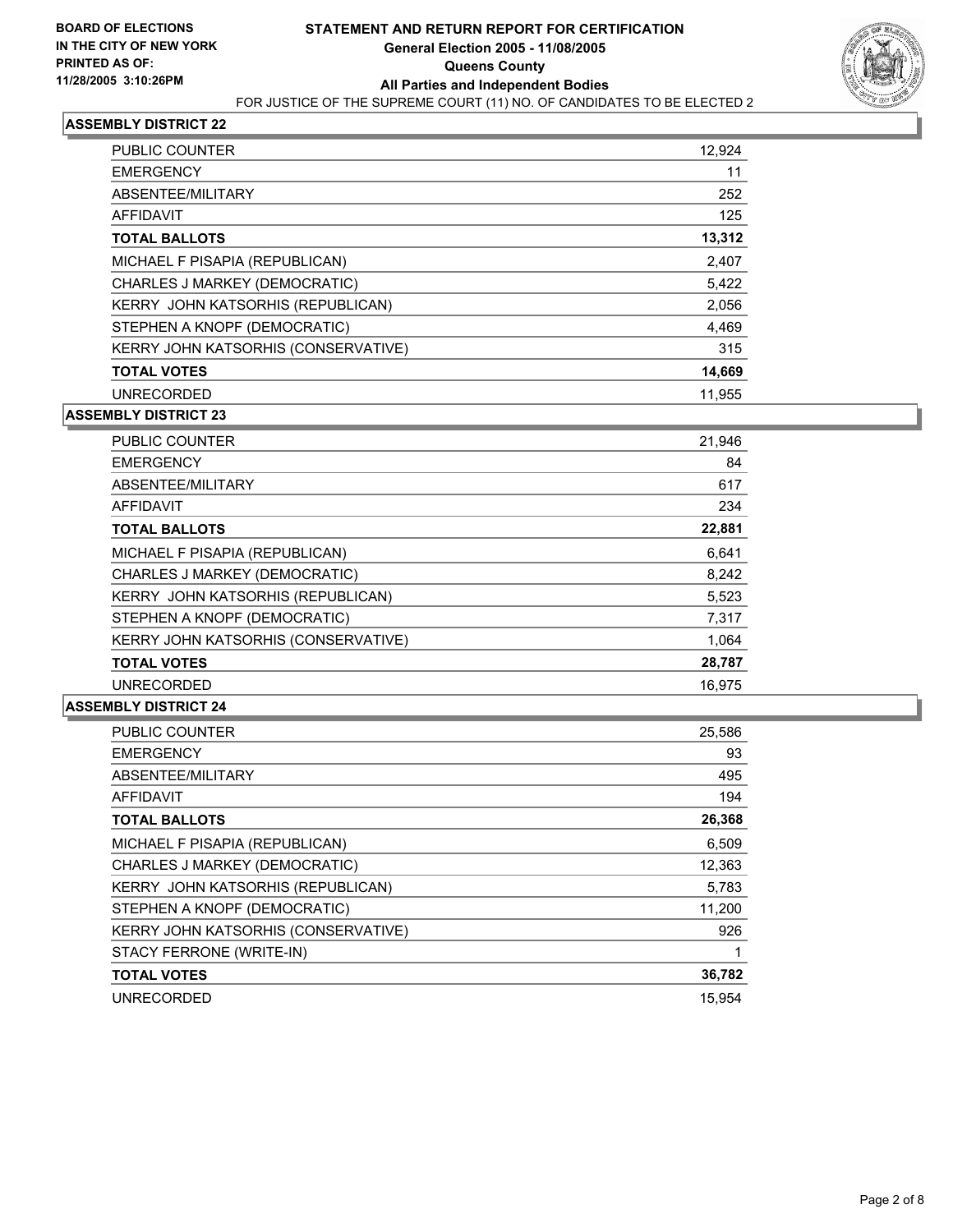

| <b>PUBLIC COUNTER</b>                    | 12,924 |
|------------------------------------------|--------|
| <b>EMERGENCY</b>                         | 11     |
| ABSENTEE/MILITARY                        | 252    |
| AFFIDAVIT                                | 125    |
| <b>TOTAL BALLOTS</b>                     | 13,312 |
| MICHAEL F PISAPIA (REPUBLICAN)           | 2,407  |
| CHARLES J MARKEY (DEMOCRATIC)            | 5,422  |
| <b>KERRY JOHN KATSORHIS (REPUBLICAN)</b> | 2,056  |
| STEPHEN A KNOPF (DEMOCRATIC)             | 4,469  |
| KERRY JOHN KATSORHIS (CONSERVATIVE)      | 315    |
| <b>TOTAL VOTES</b>                       | 14,669 |
| <b>UNRECORDED</b>                        | 11.955 |

**ASSEMBLY DISTRICT 23**

| <b>PUBLIC COUNTER</b>               | 21,946 |
|-------------------------------------|--------|
| <b>EMERGENCY</b>                    | 84     |
| ABSENTEE/MILITARY                   | 617    |
| <b>AFFIDAVIT</b>                    | 234    |
| <b>TOTAL BALLOTS</b>                | 22,881 |
| MICHAEL F PISAPIA (REPUBLICAN)      | 6,641  |
| CHARLES J MARKEY (DEMOCRATIC)       | 8,242  |
| KERRY JOHN KATSORHIS (REPUBLICAN)   | 5,523  |
| STEPHEN A KNOPF (DEMOCRATIC)        | 7,317  |
| KERRY JOHN KATSORHIS (CONSERVATIVE) | 1,064  |
| <b>TOTAL VOTES</b>                  | 28,787 |
| <b>UNRECORDED</b>                   | 16.975 |

| <b>PUBLIC COUNTER</b>                      | 25,586 |
|--------------------------------------------|--------|
| <b>EMERGENCY</b>                           | 93     |
| ABSENTEE/MILITARY                          | 495    |
| AFFIDAVIT                                  | 194    |
| <b>TOTAL BALLOTS</b>                       | 26,368 |
| MICHAEL F PISAPIA (REPUBLICAN)             | 6,509  |
| CHARLES J MARKEY (DEMOCRATIC)              | 12,363 |
| KERRY JOHN KATSORHIS (REPUBLICAN)          | 5,783  |
| STEPHEN A KNOPF (DEMOCRATIC)               | 11,200 |
| <b>KERRY JOHN KATSORHIS (CONSERVATIVE)</b> | 926    |
| STACY FERRONE (WRITE-IN)                   |        |
| <b>TOTAL VOTES</b>                         | 36,782 |
| <b>UNRECORDED</b>                          | 15.954 |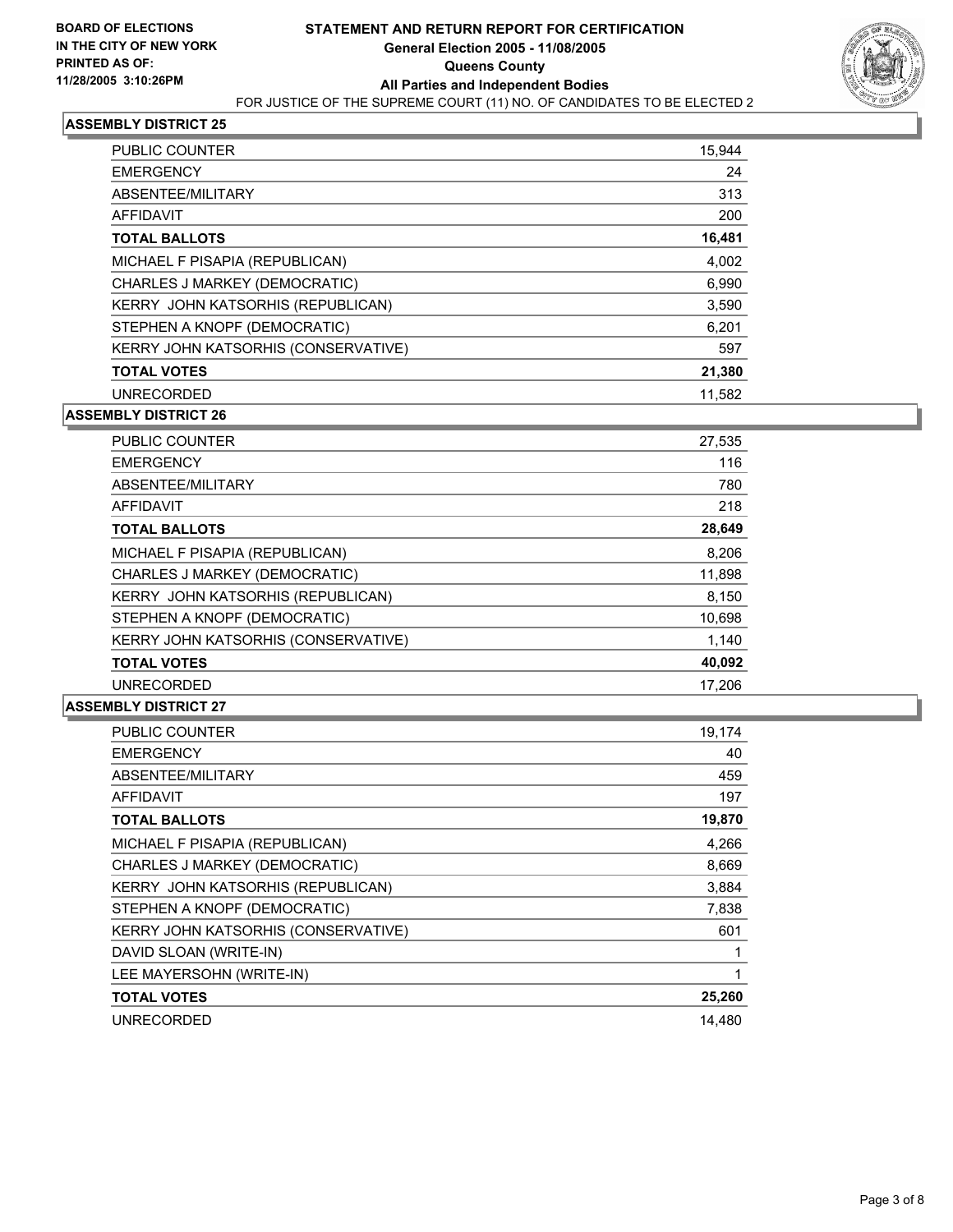

| <b>PUBLIC COUNTER</b>                      | 15,944 |
|--------------------------------------------|--------|
| <b>EMERGENCY</b>                           | 24     |
| ABSENTEE/MILITARY                          | 313    |
| <b>AFFIDAVIT</b>                           | 200    |
| <b>TOTAL BALLOTS</b>                       | 16,481 |
| MICHAEL F PISAPIA (REPUBLICAN)             | 4.002  |
| CHARLES J MARKEY (DEMOCRATIC)              | 6,990  |
| KERRY JOHN KATSORHIS (REPUBLICAN)          | 3,590  |
| STEPHEN A KNOPF (DEMOCRATIC)               | 6,201  |
| <b>KERRY JOHN KATSORHIS (CONSERVATIVE)</b> | 597    |
| <b>TOTAL VOTES</b>                         | 21,380 |
| <b>UNRECORDED</b>                          | 11,582 |

**ASSEMBLY DISTRICT 26**

| PUBLIC COUNTER                      | 27,535 |
|-------------------------------------|--------|
| <b>EMERGENCY</b>                    | 116    |
| ABSENTEE/MILITARY                   | 780    |
| <b>AFFIDAVIT</b>                    | 218    |
| <b>TOTAL BALLOTS</b>                | 28,649 |
| MICHAEL F PISAPIA (REPUBLICAN)      | 8,206  |
| CHARLES J MARKEY (DEMOCRATIC)       | 11,898 |
| KERRY JOHN KATSORHIS (REPUBLICAN)   | 8,150  |
| STEPHEN A KNOPF (DEMOCRATIC)        | 10,698 |
| KERRY JOHN KATSORHIS (CONSERVATIVE) | 1,140  |
| <b>TOTAL VOTES</b>                  | 40,092 |
| <b>UNRECORDED</b>                   | 17.206 |

| <b>PUBLIC COUNTER</b>                    | 19,174 |
|------------------------------------------|--------|
| <b>EMERGENCY</b>                         | 40     |
| ABSENTEE/MILITARY                        | 459    |
| AFFIDAVIT                                | 197    |
| <b>TOTAL BALLOTS</b>                     | 19,870 |
| MICHAEL F PISAPIA (REPUBLICAN)           | 4,266  |
| CHARLES J MARKEY (DEMOCRATIC)            | 8,669  |
| <b>KERRY JOHN KATSORHIS (REPUBLICAN)</b> | 3,884  |
| STEPHEN A KNOPF (DEMOCRATIC)             | 7,838  |
| KERRY JOHN KATSORHIS (CONSERVATIVE)      | 601    |
| DAVID SLOAN (WRITE-IN)                   |        |
| LEE MAYERSOHN (WRITE-IN)                 |        |
| <b>TOTAL VOTES</b>                       | 25,260 |
| UNRECORDED                               | 14,480 |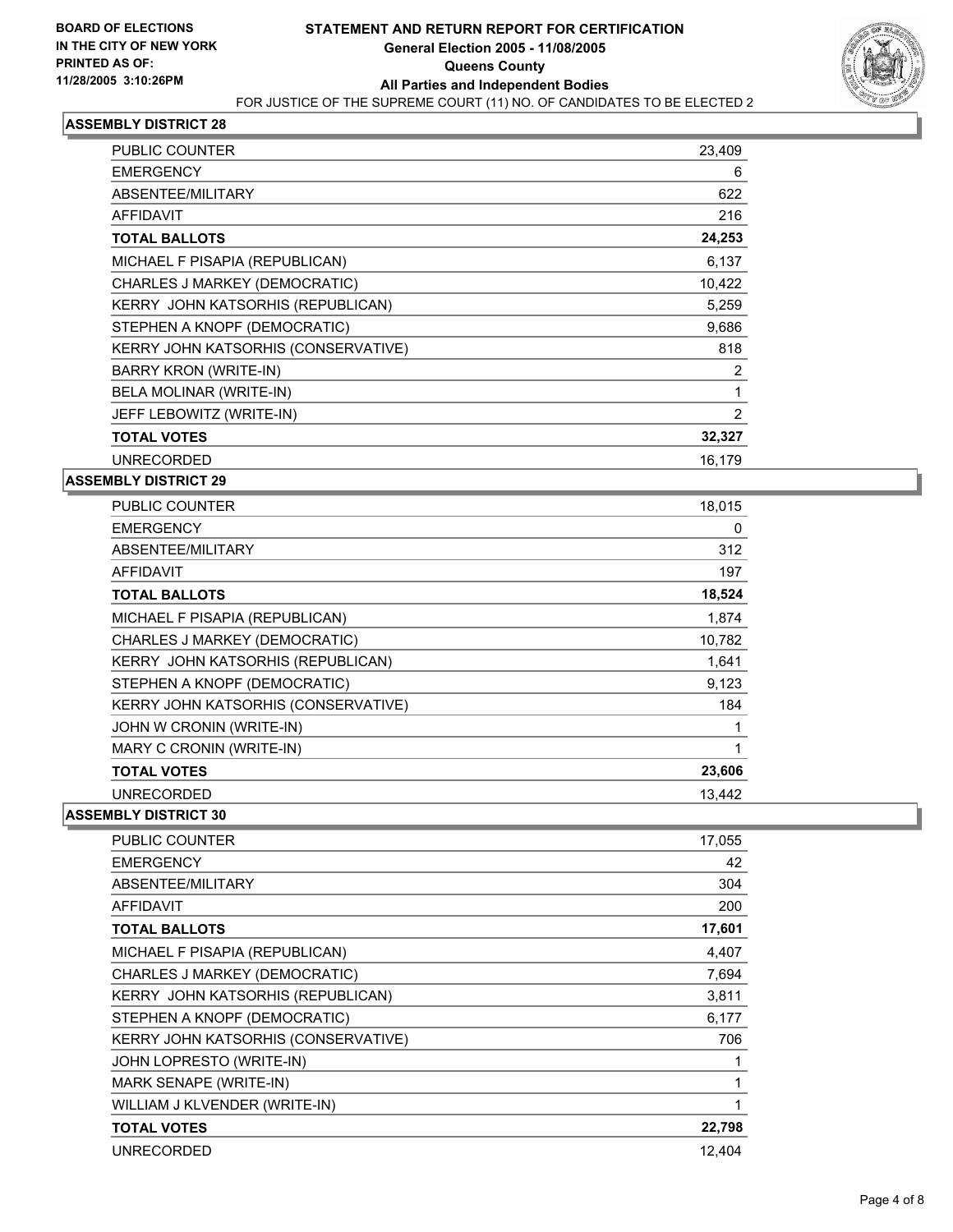

| PUBLIC COUNTER                      | 23,409 |
|-------------------------------------|--------|
| <b>EMERGENCY</b>                    | 6      |
| ABSENTEE/MILITARY                   | 622    |
| <b>AFFIDAVIT</b>                    | 216    |
| <b>TOTAL BALLOTS</b>                | 24,253 |
| MICHAEL F PISAPIA (REPUBLICAN)      | 6,137  |
| CHARLES J MARKEY (DEMOCRATIC)       | 10,422 |
| KERRY JOHN KATSORHIS (REPUBLICAN)   | 5,259  |
| STEPHEN A KNOPF (DEMOCRATIC)        | 9,686  |
| KERRY JOHN KATSORHIS (CONSERVATIVE) | 818    |
| <b>BARRY KRON (WRITE-IN)</b>        | 2      |
| BELA MOLINAR (WRITE-IN)             |        |
| JEFF LEBOWITZ (WRITE-IN)            | 2      |
| <b>TOTAL VOTES</b>                  | 32,327 |
| <b>UNRECORDED</b>                   | 16,179 |

## **ASSEMBLY DISTRICT 29**

| <b>PUBLIC COUNTER</b>               | 18,015 |
|-------------------------------------|--------|
| <b>EMERGENCY</b>                    | 0      |
| ABSENTEE/MILITARY                   | 312    |
| <b>AFFIDAVIT</b>                    | 197    |
| <b>TOTAL BALLOTS</b>                | 18,524 |
| MICHAEL F PISAPIA (REPUBLICAN)      | 1,874  |
| CHARLES J MARKEY (DEMOCRATIC)       | 10,782 |
| KERRY JOHN KATSORHIS (REPUBLICAN)   | 1,641  |
| STEPHEN A KNOPF (DEMOCRATIC)        | 9,123  |
| KERRY JOHN KATSORHIS (CONSERVATIVE) | 184    |
| JOHN W CRONIN (WRITE-IN)            |        |
| MARY C CRONIN (WRITE-IN)            |        |
| <b>TOTAL VOTES</b>                  | 23,606 |
| <b>UNRECORDED</b>                   | 13.442 |

| PUBLIC COUNTER                      | 17,055 |
|-------------------------------------|--------|
| <b>EMERGENCY</b>                    | 42     |
| ABSENTEE/MILITARY                   | 304    |
| <b>AFFIDAVIT</b>                    | 200    |
| <b>TOTAL BALLOTS</b>                | 17,601 |
| MICHAEL F PISAPIA (REPUBLICAN)      | 4,407  |
| CHARLES J MARKEY (DEMOCRATIC)       | 7,694  |
| KERRY JOHN KATSORHIS (REPUBLICAN)   | 3,811  |
| STEPHEN A KNOPF (DEMOCRATIC)        | 6,177  |
| KERRY JOHN KATSORHIS (CONSERVATIVE) | 706    |
| JOHN LOPRESTO (WRITE-IN)            |        |
| MARK SENAPE (WRITE-IN)              |        |
| WILLIAM J KLVENDER (WRITE-IN)       |        |
| <b>TOTAL VOTES</b>                  | 22,798 |
| <b>UNRECORDED</b>                   | 12,404 |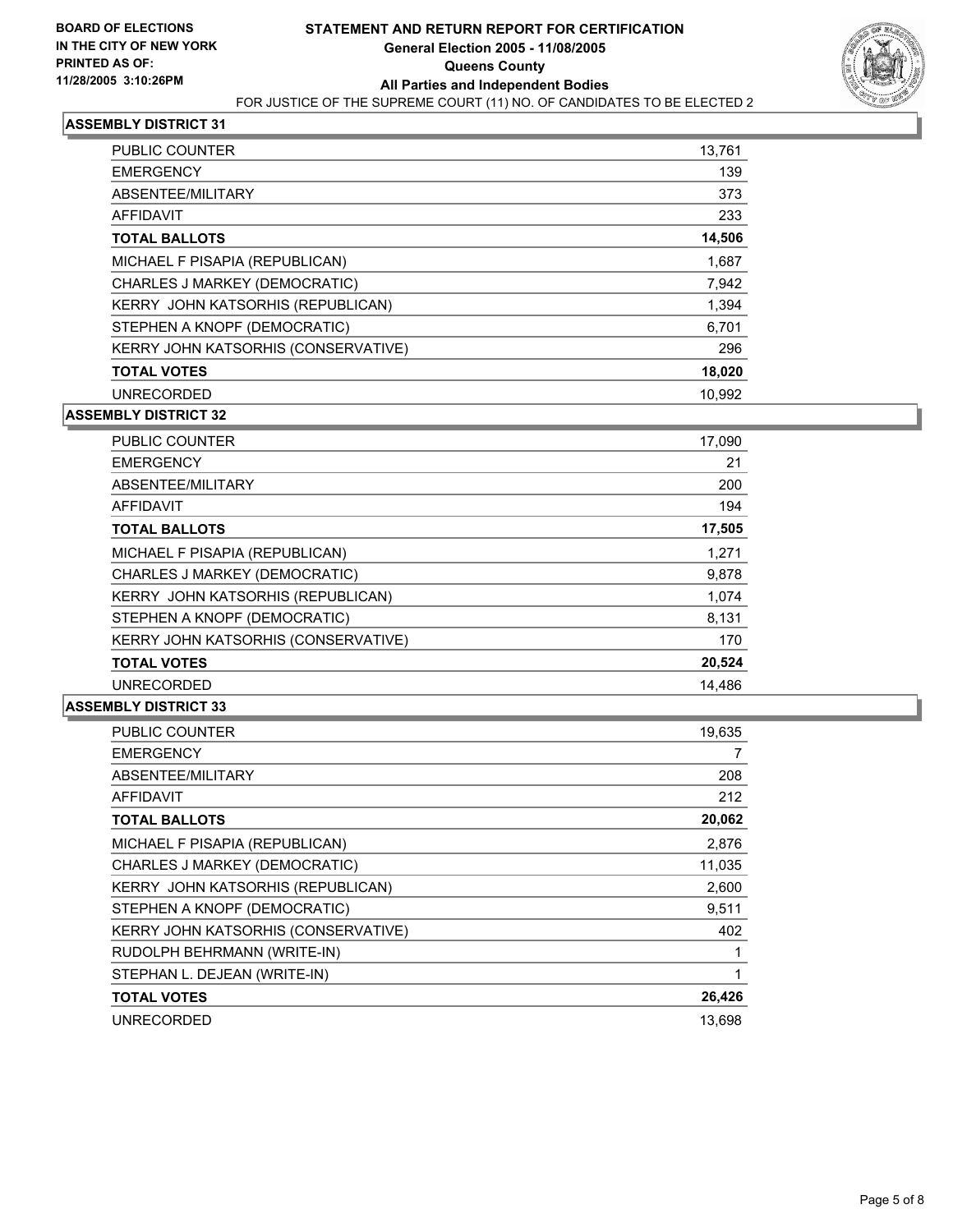

| <b>PUBLIC COUNTER</b>               | 13,761 |
|-------------------------------------|--------|
| <b>EMERGENCY</b>                    | 139    |
| ABSENTEE/MILITARY                   | 373    |
| AFFIDAVIT                           | 233    |
| <b>TOTAL BALLOTS</b>                | 14,506 |
| MICHAEL F PISAPIA (REPUBLICAN)      | 1,687  |
| CHARLES J MARKEY (DEMOCRATIC)       | 7,942  |
| KERRY JOHN KATSORHIS (REPUBLICAN)   | 1,394  |
| STEPHEN A KNOPF (DEMOCRATIC)        | 6,701  |
| KERRY JOHN KATSORHIS (CONSERVATIVE) | 296    |
| <b>TOTAL VOTES</b>                  | 18,020 |
| <b>UNRECORDED</b>                   | 10.992 |

**ASSEMBLY DISTRICT 32**

| PUBLIC COUNTER                      | 17,090 |
|-------------------------------------|--------|
| <b>EMERGENCY</b>                    | 21     |
| ABSENTEE/MILITARY                   | 200    |
| <b>AFFIDAVIT</b>                    | 194    |
| <b>TOTAL BALLOTS</b>                | 17,505 |
| MICHAEL F PISAPIA (REPUBLICAN)      | 1,271  |
| CHARLES J MARKEY (DEMOCRATIC)       | 9,878  |
| KERRY JOHN KATSORHIS (REPUBLICAN)   | 1,074  |
| STEPHEN A KNOPF (DEMOCRATIC)        | 8,131  |
| KERRY JOHN KATSORHIS (CONSERVATIVE) | 170    |
| <b>TOTAL VOTES</b>                  | 20,524 |
| <b>UNRECORDED</b>                   | 14.486 |

| <b>PUBLIC COUNTER</b>                    | 19,635 |
|------------------------------------------|--------|
| <b>EMERGENCY</b>                         |        |
| ABSENTEE/MILITARY                        | 208    |
| AFFIDAVIT                                | 212    |
| <b>TOTAL BALLOTS</b>                     | 20,062 |
| MICHAEL F PISAPIA (REPUBLICAN)           | 2,876  |
| CHARLES J MARKEY (DEMOCRATIC)            | 11,035 |
| <b>KERRY JOHN KATSORHIS (REPUBLICAN)</b> | 2,600  |
| STEPHEN A KNOPF (DEMOCRATIC)             | 9,511  |
| KERRY JOHN KATSORHIS (CONSERVATIVE)      | 402    |
| RUDOLPH BEHRMANN (WRITE-IN)              |        |
| STEPHAN L. DEJEAN (WRITE-IN)             |        |
| <b>TOTAL VOTES</b>                       | 26,426 |
| <b>UNRECORDED</b>                        | 13.698 |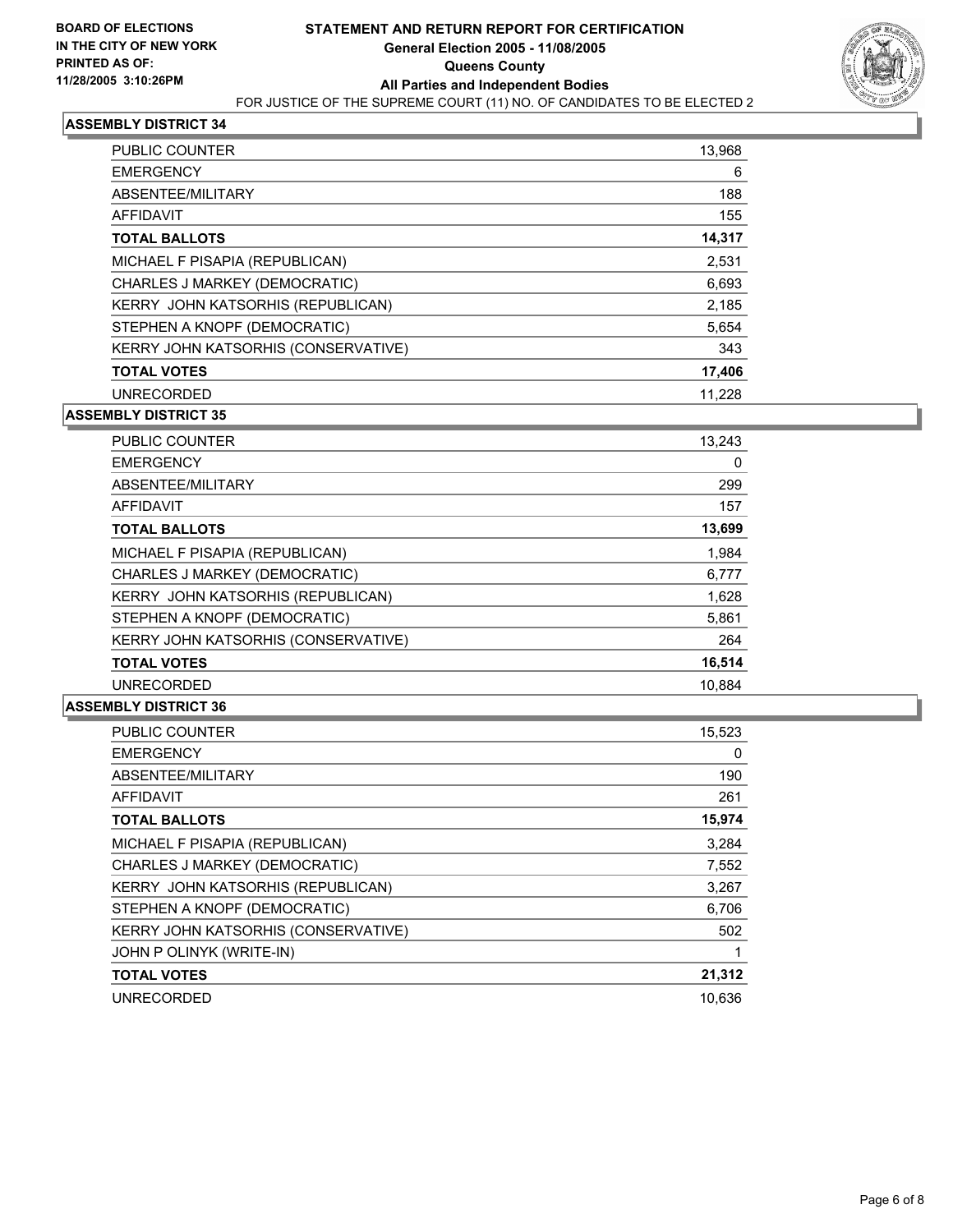

| <b>PUBLIC COUNTER</b>               | 13,968 |
|-------------------------------------|--------|
| <b>EMERGENCY</b>                    | 6      |
| ABSENTEE/MILITARY                   | 188    |
| <b>AFFIDAVIT</b>                    | 155    |
| <b>TOTAL BALLOTS</b>                | 14,317 |
| MICHAEL F PISAPIA (REPUBLICAN)      | 2,531  |
| CHARLES J MARKEY (DEMOCRATIC)       | 6,693  |
| KERRY JOHN KATSORHIS (REPUBLICAN)   | 2,185  |
| STEPHEN A KNOPF (DEMOCRATIC)        | 5,654  |
| KERRY JOHN KATSORHIS (CONSERVATIVE) | 343    |
| <b>TOTAL VOTES</b>                  | 17,406 |
| <b>UNRECORDED</b>                   | 11.228 |

**ASSEMBLY DISTRICT 35**

| <b>PUBLIC COUNTER</b>                    | 13,243 |
|------------------------------------------|--------|
| <b>EMERGENCY</b>                         | 0      |
| ABSENTEE/MILITARY                        | 299    |
| AFFIDAVIT                                | 157    |
| <b>TOTAL BALLOTS</b>                     | 13,699 |
| MICHAEL F PISAPIA (REPUBLICAN)           | 1,984  |
| CHARLES J MARKEY (DEMOCRATIC)            | 6,777  |
| <b>KERRY JOHN KATSORHIS (REPUBLICAN)</b> | 1,628  |
| STEPHEN A KNOPF (DEMOCRATIC)             | 5,861  |
| KERRY JOHN KATSORHIS (CONSERVATIVE)      | 264    |
| <b>TOTAL VOTES</b>                       | 16,514 |
| <b>UNRECORDED</b>                        | 10.884 |

| <b>PUBLIC COUNTER</b>               | 15,523 |
|-------------------------------------|--------|
| <b>EMERGENCY</b>                    | 0      |
| ABSENTEE/MILITARY                   | 190    |
| AFFIDAVIT                           | 261    |
| <b>TOTAL BALLOTS</b>                | 15,974 |
| MICHAEL F PISAPIA (REPUBLICAN)      | 3.284  |
| CHARLES J MARKEY (DEMOCRATIC)       | 7,552  |
| KERRY JOHN KATSORHIS (REPUBLICAN)   | 3,267  |
| STEPHEN A KNOPF (DEMOCRATIC)        | 6,706  |
| KERRY JOHN KATSORHIS (CONSERVATIVE) | 502    |
| JOHN P OLINYK (WRITE-IN)            |        |
| <b>TOTAL VOTES</b>                  | 21,312 |
| <b>UNRECORDED</b>                   | 10,636 |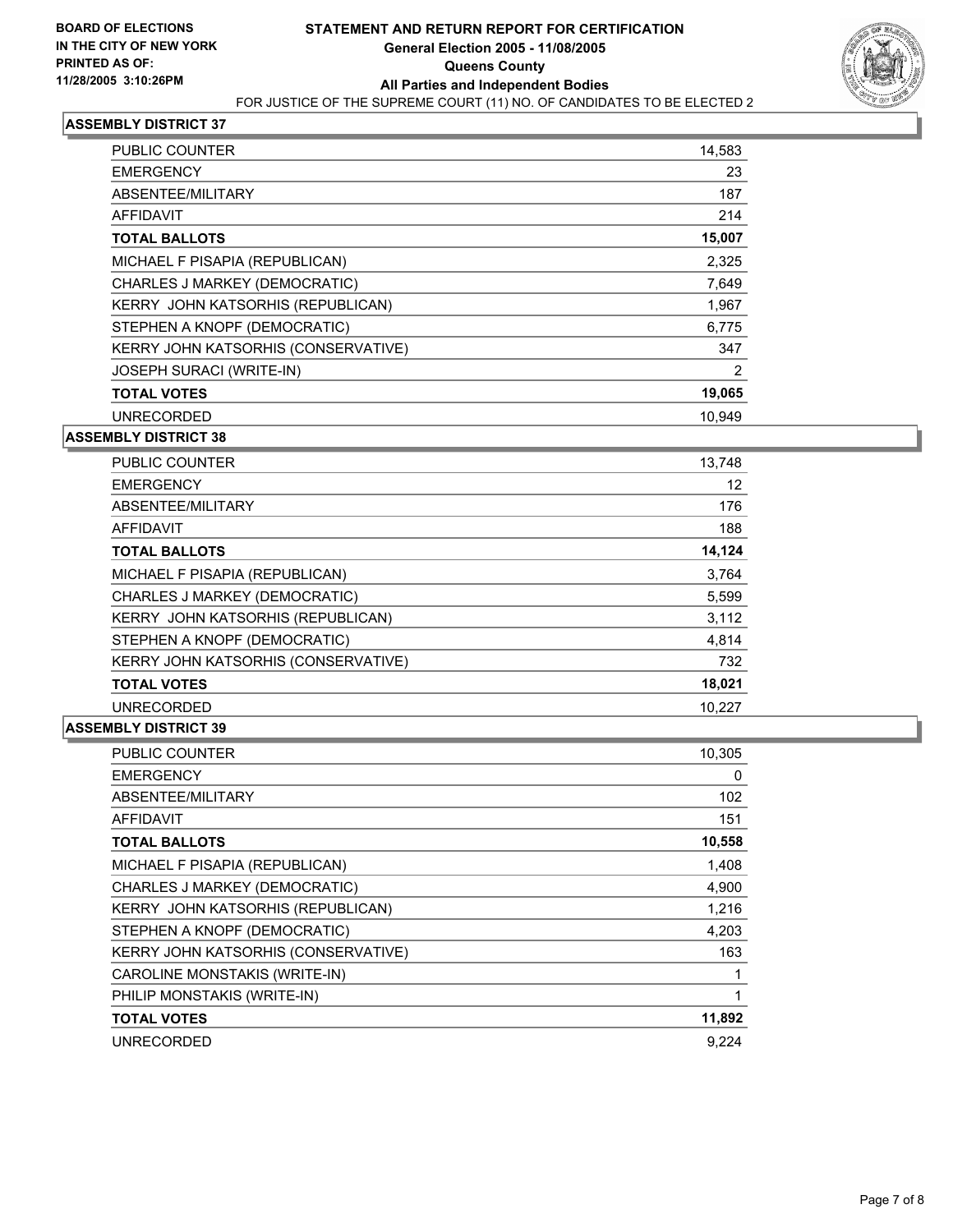

| <b>PUBLIC COUNTER</b>                    | 14,583 |
|------------------------------------------|--------|
| <b>EMERGENCY</b>                         | 23     |
| ABSENTEE/MILITARY                        | 187    |
| AFFIDAVIT                                | 214    |
| <b>TOTAL BALLOTS</b>                     | 15,007 |
| MICHAEL F PISAPIA (REPUBLICAN)           | 2,325  |
| CHARLES J MARKEY (DEMOCRATIC)            | 7,649  |
| <b>KERRY JOHN KATSORHIS (REPUBLICAN)</b> | 1,967  |
| STEPHEN A KNOPF (DEMOCRATIC)             | 6,775  |
| KERRY JOHN KATSORHIS (CONSERVATIVE)      | 347    |
| <b>JOSEPH SURACI (WRITE-IN)</b>          | 2      |
| <b>TOTAL VOTES</b>                       | 19,065 |
| <b>UNRECORDED</b>                        | 10,949 |

#### **ASSEMBLY DISTRICT 38**

| <b>PUBLIC COUNTER</b>                    | 13,748 |
|------------------------------------------|--------|
| <b>EMERGENCY</b>                         | 12     |
| ABSENTEE/MILITARY                        | 176    |
| AFFIDAVIT                                | 188    |
| <b>TOTAL BALLOTS</b>                     | 14,124 |
| MICHAEL F PISAPIA (REPUBLICAN)           | 3,764  |
| CHARLES J MARKEY (DEMOCRATIC)            | 5,599  |
| <b>KERRY JOHN KATSORHIS (REPUBLICAN)</b> | 3,112  |
| STEPHEN A KNOPF (DEMOCRATIC)             | 4,814  |
| KERRY JOHN KATSORHIS (CONSERVATIVE)      | 732    |
| <b>TOTAL VOTES</b>                       | 18,021 |
| <b>UNRECORDED</b>                        | 10.227 |

| <b>PUBLIC COUNTER</b>               | 10,305 |
|-------------------------------------|--------|
| <b>EMERGENCY</b>                    | 0      |
| ABSENTEE/MILITARY                   | 102    |
| AFFIDAVIT                           | 151    |
| <b>TOTAL BALLOTS</b>                | 10,558 |
| MICHAEL F PISAPIA (REPUBLICAN)      | 1,408  |
| CHARLES J MARKEY (DEMOCRATIC)       | 4,900  |
| KERRY JOHN KATSORHIS (REPUBLICAN)   | 1,216  |
| STEPHEN A KNOPF (DEMOCRATIC)        | 4,203  |
| KERRY JOHN KATSORHIS (CONSERVATIVE) | 163    |
| CAROLINE MONSTAKIS (WRITE-IN)       |        |
| PHILIP MONSTAKIS (WRITE-IN)         |        |
| <b>TOTAL VOTES</b>                  | 11,892 |
| <b>UNRECORDED</b>                   | 9.224  |